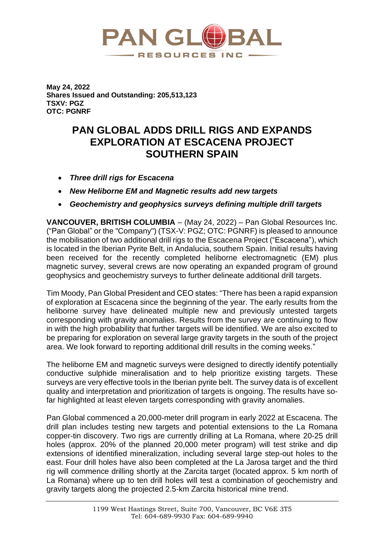

**May 24, 2022 Shares Issued and Outstanding: 205,513,123 TSXV: PGZ OTC: PGNRF**

## **PAN GLOBAL ADDS DRILL RIGS AND EXPANDS EXPLORATION AT ESCACENA PROJECT SOUTHERN SPAIN**

- *Three drill rigs for Escacena*
- *New Heliborne EM and Magnetic results add new targets*
- *Geochemistry and geophysics surveys defining multiple drill targets*

**VANCOUVER, BRITISH COLUMBIA** – (May 24, 2022) – Pan Global Resources Inc. ("Pan Global" or the "Company") (TSX-V: PGZ; OTC: PGNRF) is pleased to announce the mobilisation of two additional drill rigs to the Escacena Project ("Escacena"), which is located in the Iberian Pyrite Belt, in Andalucia, southern Spain. Initial results having been received for the recently completed heliborne electromagnetic (EM) plus magnetic survey, several crews are now operating an expanded program of ground geophysics and geochemistry surveys to further delineate additional drill targets.

Tim Moody, Pan Global President and CEO states: "There has been a rapid expansion of exploration at Escacena since the beginning of the year. The early results from the heliborne survey have delineated multiple new and previously untested targets corresponding with gravity anomalies. Results from the survey are continuing to flow in with the high probability that further targets will be identified. We are also excited to be preparing for exploration on several large gravity targets in the south of the project area. We look forward to reporting additional drill results in the coming weeks."

The heliborne EM and magnetic surveys were designed to directly identify potentially conductive sulphide mineralisation and to help prioritize existing targets. These surveys are very effective tools in the Iberian pyrite belt. The survey data is of excellent quality and interpretation and prioritization of targets is ongoing. The results have sofar highlighted at least eleven targets corresponding with gravity anomalies.

Pan Global commenced a 20,000-meter drill program in early 2022 at Escacena. The drill plan includes testing new targets and potential extensions to the La Romana copper-tin discovery. Two rigs are currently drilling at La Romana, where 20-25 drill holes (approx. 20% of the planned 20,000 meter program) will test strike and dip extensions of identified mineralization, including several large step-out holes to the east. Four drill holes have also been completed at the La Jarosa target and the third rig will commence drilling shortly at the Zarcita target (located approx. 5 km north of La Romana) where up to ten drill holes will test a combination of geochemistry and gravity targets along the projected 2.5-km Zarcita historical mine trend.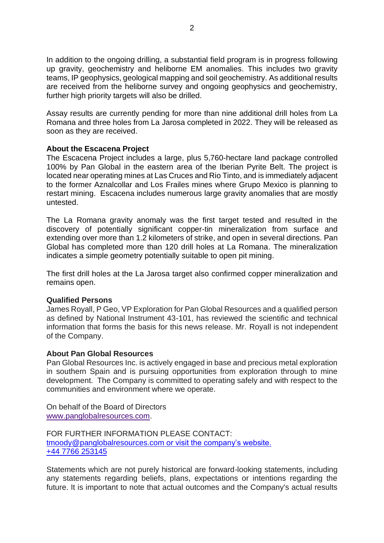In addition to the ongoing drilling, a substantial field program is in progress following up gravity, geochemistry and heliborne EM anomalies. This includes two gravity teams, IP geophysics, geological mapping and soil geochemistry. As additional results are received from the heliborne survey and ongoing geophysics and geochemistry, further high priority targets will also be drilled.

Assay results are currently pending for more than nine additional drill holes from La Romana and three holes from La Jarosa completed in 2022. They will be released as soon as they are received.

## **About the Escacena Project**

The Escacena Project includes a large, plus 5,760-hectare land package controlled 100% by Pan Global in the eastern area of the Iberian Pyrite Belt. The project is located near operating mines at Las Cruces and Rio Tinto, and is immediately adjacent to the former Aznalcollar and Los Frailes mines where Grupo Mexico is planning to restart mining. Escacena includes numerous large gravity anomalies that are mostly untested.

The La Romana gravity anomaly was the first target tested and resulted in the discovery of potentially significant copper-tin mineralization from surface and extending over more than 1.2 kilometers of strike, and open in several directions. Pan Global has completed more than 120 drill holes at La Romana. The mineralization indicates a simple geometry potentially suitable to open pit mining.

The first drill holes at the La Jarosa target also confirmed copper mineralization and remains open.

## **Qualified Persons**

James Royall, P Geo, VP Exploration for Pan Global Resources and a qualified person as defined by National Instrument 43-101, has reviewed the scientific and technical information that forms the basis for this news release. Mr. Royall is not independent of the Company.

## **About Pan Global Resources**

Pan Global Resources Inc. is actively engaged in base and precious metal exploration in southern Spain and is pursuing opportunities from exploration through to mine development. The Company is committed to operating safely and with respect to the communities and environment where we operate.

On behalf of the Board of Directors [www.panglobalresources.com.](http://www.panglobalresources.com/)

FOR FURTHER INFORMATION PLEASE CONTACT: [tmoody@panglobalresources.com](mailto:investors@panglobalresources.com) or visit the company's website. +44 7766 253145

Statements which are not purely historical are forward-looking statements, including any statements regarding beliefs, plans, expectations or intentions regarding the future. It is important to note that actual outcomes and the Company's actual results